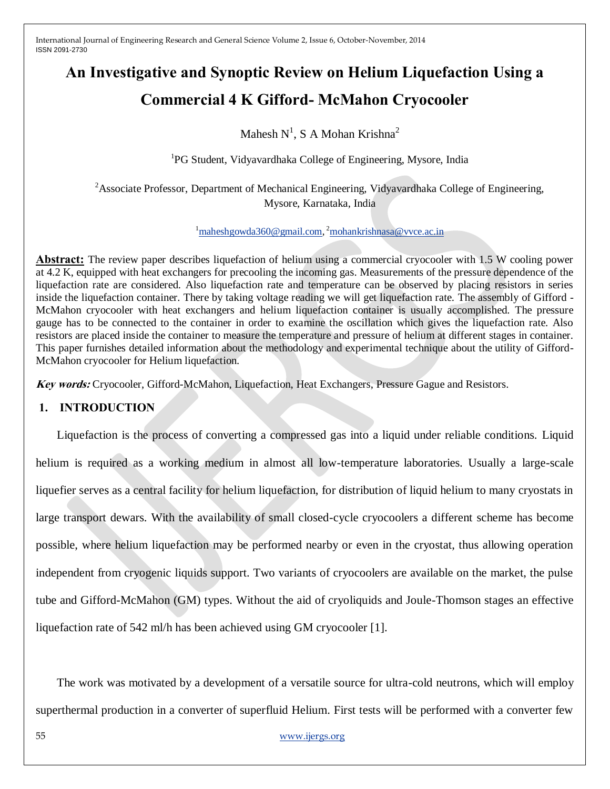# **An Investigative and Synoptic Review on Helium Liquefaction Using a Commercial 4 K Gifford- McMahon Cryocooler**

Mahesh  $N^1$ , S A Mohan Krishna<sup>2</sup>

<sup>1</sup>PG Student, Vidyavardhaka College of Engineering, Mysore, India

<sup>2</sup>Associate Professor, Department of Mechanical Engineering, Vidyavardhaka College of Engineering, Mysore, Karnataka, India

<sup>1</sup>[maheshgowda360@gmail.com,](mailto:maheshgowda360@gmail.com) <sup>2</sup>[mohankrishnasa@vvce.ac.in](mailto:mohankrishnasa@vvce.ac.in)

**Abstract:** The review paper describes liquefaction of helium using a commercial cryocooler with 1.5 W cooling power at 4.2 K, equipped with heat exchangers for precooling the incoming gas. Measurements of the pressure dependence of the liquefaction rate are considered. Also liquefaction rate and temperature can be observed by placing resistors in series inside the liquefaction container. There by taking voltage reading we will get liquefaction rate. The assembly of Gifford - McMahon cryocooler with heat exchangers and helium liquefaction container is usually accomplished. The pressure gauge has to be connected to the container in order to examine the oscillation which gives the liquefaction rate. Also resistors are placed inside the container to measure the temperature and pressure of helium at different stages in container. This paper furnishes detailed information about the methodology and experimental technique about the utility of Gifford-McMahon cryocooler for Helium liquefaction.

**Key words:** Cryocooler, Gifford-McMahon, Liquefaction, Heat Exchangers, Pressure Gague and Resistors.

# **1. INTRODUCTION**

Liquefaction is the process of converting a compressed gas into a liquid under reliable conditions. Liquid helium is required as a working medium in almost all low-temperature laboratories. Usually a large-scale liquefier serves as a central facility for helium liquefaction, for distribution of liquid helium to many cryostats in large transport dewars. With the availability of small closed-cycle cryocoolers a different scheme has become possible, where helium liquefaction may be performed nearby or even in the cryostat, thus allowing operation independent from cryogenic liquids support. Two variants of cryocoolers are available on the market, the pulse tube and Gifford-McMahon (GM) types. Without the aid of cryoliquids and Joule-Thomson stages an effective liquefaction rate of 542 ml/h has been achieved using GM cryocooler [1].

The work was motivated by a development of a versatile source for ultra-cold neutrons, which will employ superthermal production in a converter of superfluid Helium. First tests will be performed with a converter few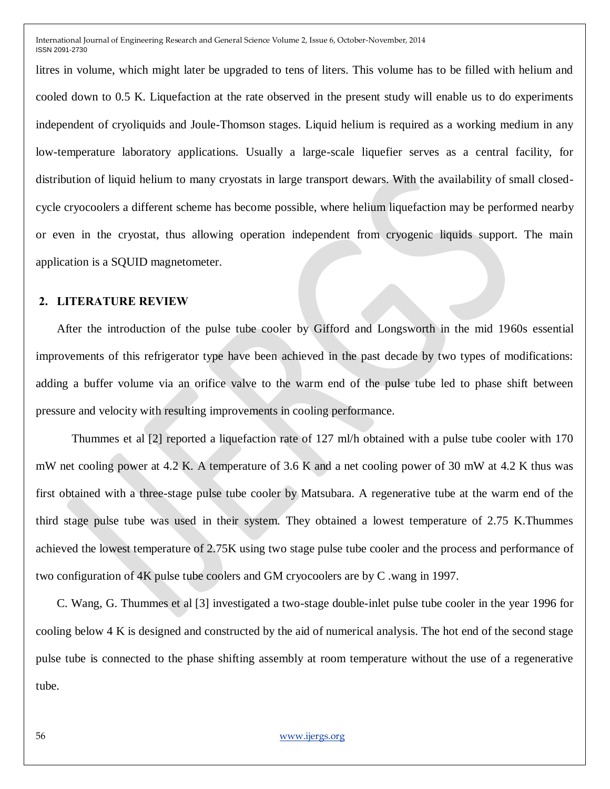litres in volume, which might later be upgraded to tens of liters. This volume has to be filled with helium and cooled down to 0.5 K. Liquefaction at the rate observed in the present study will enable us to do experiments independent of cryoliquids and Joule-Thomson stages. Liquid helium is required as a working medium in any low-temperature laboratory applications. Usually a large-scale liquefier serves as a central facility, for distribution of liquid helium to many cryostats in large transport dewars. With the availability of small closedcycle cryocoolers a different scheme has become possible, where helium liquefaction may be performed nearby or even in the cryostat, thus allowing operation independent from cryogenic liquids support. The main application is a SQUID magnetometer.

#### **2. LITERATURE REVIEW**

After the introduction of the pulse tube cooler by Gifford and Longsworth in the mid 1960s essential improvements of this refrigerator type have been achieved in the past decade by two types of modifications: adding a buffer volume via an orifice valve to the warm end of the pulse tube led to phase shift between pressure and velocity with resulting improvements in cooling performance.

Thummes et al [2] reported a liquefaction rate of 127 ml/h obtained with a pulse tube cooler with 170 mW net cooling power at 4.2 K. A temperature of 3.6 K and a net cooling power of 30 mW at 4.2 K thus was first obtained with a three-stage pulse tube cooler by Matsubara. A regenerative tube at the warm end of the third stage pulse tube was used in their system. They obtained a lowest temperature of 2.75 K.Thummes achieved the lowest temperature of 2.75K using two stage pulse tube cooler and the process and performance of two configuration of 4K pulse tube coolers and GM cryocoolers are by C .wang in 1997.

C. Wang, G. Thummes et al [3] investigated a two-stage double-inlet pulse tube cooler in the year 1996 for cooling below 4 K is designed and constructed by the aid of numerical analysis. The hot end of the second stage pulse tube is connected to the phase shifting assembly at room temperature without the use of a regenerative tube.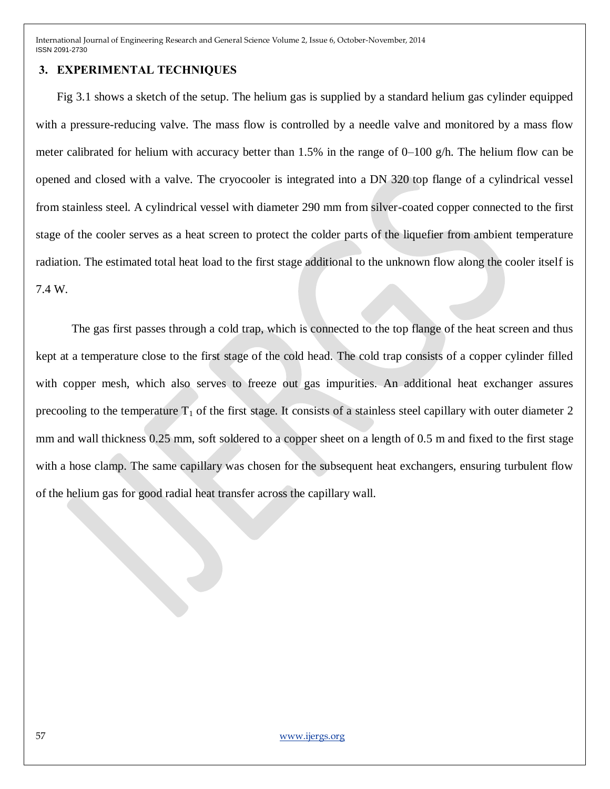#### **3. EXPERIMENTAL TECHNIQUES**

Fig 3.1 shows a sketch of the setup. The helium gas is supplied by a standard helium gas cylinder equipped with a pressure-reducing valve. The mass flow is controlled by a needle valve and monitored by a mass flow meter calibrated for helium with accuracy better than 1.5% in the range of 0–100 g/h. The helium flow can be opened and closed with a valve. The cryocooler is integrated into a DN 320 top flange of a cylindrical vessel from stainless steel. A cylindrical vessel with diameter 290 mm from silver-coated copper connected to the first stage of the cooler serves as a heat screen to protect the colder parts of the liquefier from ambient temperature radiation. The estimated total heat load to the first stage additional to the unknown flow along the cooler itself is 7.4 W.

The gas first passes through a cold trap, which is connected to the top flange of the heat screen and thus kept at a temperature close to the first stage of the cold head. The cold trap consists of a copper cylinder filled with copper mesh, which also serves to freeze out gas impurities. An additional heat exchanger assures precooling to the temperature  $T_1$  of the first stage. It consists of a stainless steel capillary with outer diameter 2 mm and wall thickness 0.25 mm, soft soldered to a copper sheet on a length of 0.5 m and fixed to the first stage with a hose clamp. The same capillary was chosen for the subsequent heat exchangers, ensuring turbulent flow of the helium gas for good radial heat transfer across the capillary wall.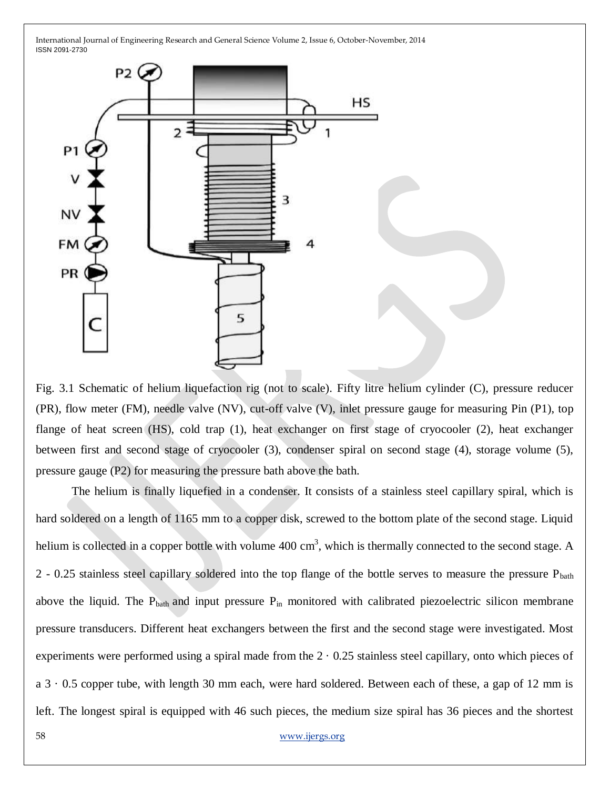

Fig. 3.1 Schematic of helium liquefaction rig (not to scale). Fifty litre helium cylinder (C), pressure reducer (PR), flow meter (FM), needle valve (NV), cut-off valve (V), inlet pressure gauge for measuring Pin (P1), top flange of heat screen (HS), cold trap (1), heat exchanger on first stage of cryocooler (2), heat exchanger between first and second stage of cryocooler (3), condenser spiral on second stage (4), storage volume (5), pressure gauge (P2) for measuring the pressure bath above the bath.

The helium is finally liquefied in a condenser. It consists of a stainless steel capillary spiral, which is hard soldered on a length of 1165 mm to a copper disk, screwed to the bottom plate of the second stage. Liquid helium is collected in a copper bottle with volume  $400 \text{ cm}^3$ , which is thermally connected to the second stage. A 2 - 0.25 stainless steel capillary soldered into the top flange of the bottle serves to measure the pressure  $P_{\text{bath}}$ above the liquid. The  $P_{\text{bath}}$  and input pressure  $P_{\text{in}}$  monitored with calibrated piezoelectric silicon membrane pressure transducers. Different heat exchangers between the first and the second stage were investigated. Most experiments were performed using a spiral made from the  $2 \cdot 0.25$  stainless steel capillary, onto which pieces of  $a$  3  $\cdot$  0.5 copper tube, with length 30 mm each, were hard soldered. Between each of these, a gap of 12 mm is left. The longest spiral is equipped with 46 such pieces, the medium size spiral has 36 pieces and the shortest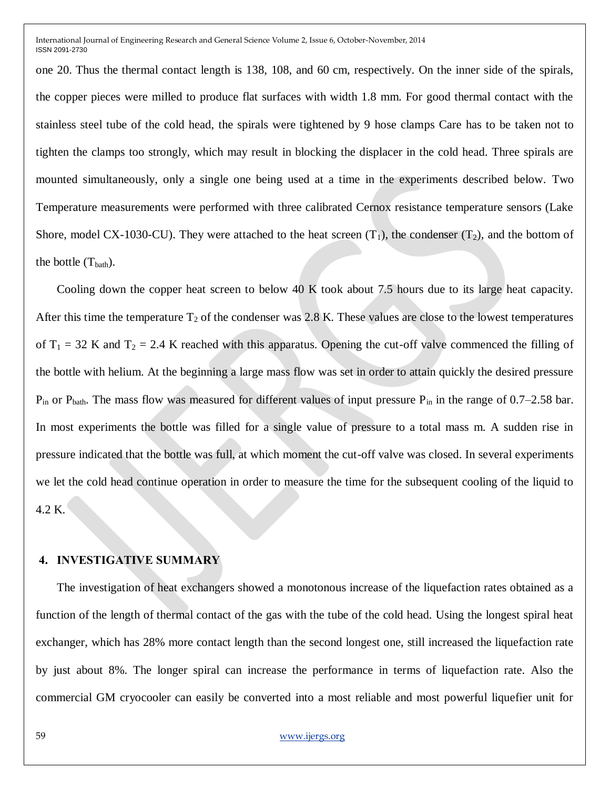one 20. Thus the thermal contact length is 138, 108, and 60 cm, respectively. On the inner side of the spirals, the copper pieces were milled to produce flat surfaces with width 1.8 mm. For good thermal contact with the stainless steel tube of the cold head, the spirals were tightened by 9 hose clamps Care has to be taken not to tighten the clamps too strongly, which may result in blocking the displacer in the cold head. Three spirals are mounted simultaneously, only a single one being used at a time in the experiments described below. Two Temperature measurements were performed with three calibrated Cernox resistance temperature sensors (Lake Shore, model CX-1030-CU). They were attached to the heat screen  $(T_1)$ , the condenser  $(T_2)$ , and the bottom of the bottle  $(T<sub>bath</sub>)$ .

Cooling down the copper heat screen to below 40 K took about 7.5 hours due to its large heat capacity. After this time the temperature  $T_2$  of the condenser was 2.8 K. These values are close to the lowest temperatures of  $T_1 = 32$  K and  $T_2 = 2.4$  K reached with this apparatus. Opening the cut-off valve commenced the filling of the bottle with helium. At the beginning a large mass flow was set in order to attain quickly the desired pressure  $P_{in}$  or  $P_{bath}$ . The mass flow was measured for different values of input pressure  $P_{in}$  in the range of 0.7–2.58 bar. In most experiments the bottle was filled for a single value of pressure to a total mass m. A sudden rise in pressure indicated that the bottle was full, at which moment the cut-off valve was closed. In several experiments we let the cold head continue operation in order to measure the time for the subsequent cooling of the liquid to 4.2 K.

## **4. INVESTIGATIVE SUMMARY**

The investigation of heat exchangers showed a monotonous increase of the liquefaction rates obtained as a function of the length of thermal contact of the gas with the tube of the cold head. Using the longest spiral heat exchanger, which has 28% more contact length than the second longest one, still increased the liquefaction rate by just about 8%. The longer spiral can increase the performance in terms of liquefaction rate. Also the commercial GM cryocooler can easily be converted into a most reliable and most powerful liquefier unit for